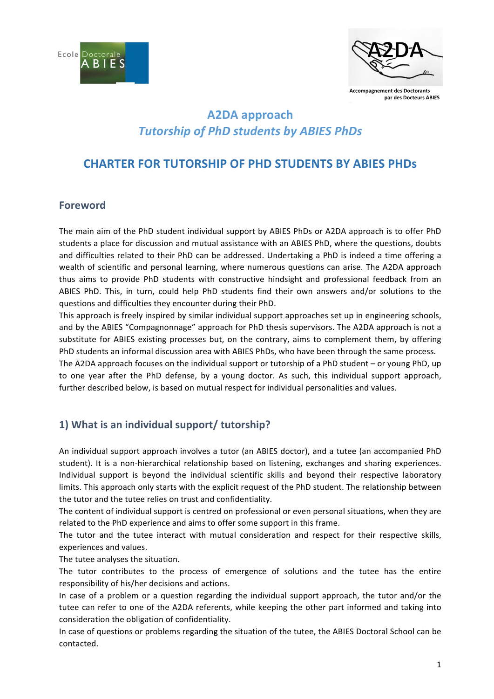



**Accompagnement des Doctorants** par des Docteurs ABIES

# **A2DA approach** *Tutorship of PhD students by ABIES PhDs*

## **CHARTER FOR TUTORSHIP OF PHD STUDENTS BY ABIES PHDS**

#### **Foreword**

The main aim of the PhD student individual support by ABIES PhDs or A2DA approach is to offer PhD students a place for discussion and mutual assistance with an ABIES PhD, where the questions, doubts and difficulties related to their PhD can be addressed. Undertaking a PhD is indeed a time offering a wealth of scientific and personal learning, where numerous questions can arise. The A2DA approach thus aims to provide PhD students with constructive hindsight and professional feedback from an ABIES PhD. This, in turn, could help PhD students find their own answers and/or solutions to the questions and difficulties they encounter during their PhD.

This approach is freely inspired by similar individual support approaches set up in engineering schools, and by the ABIES "Compagnonnage" approach for PhD thesis supervisors. The A2DA approach is not a substitute for ABIES existing processes but, on the contrary, aims to complement them, by offering PhD students an informal discussion area with ABIES PhDs, who have been through the same process. The A2DA approach focuses on the individual support or tutorship of a PhD student – or young PhD, up to one year after the PhD defense, by a young doctor. As such, this individual support approach, further described below, is based on mutual respect for individual personalities and values.

### **1)** What is an individual support/ tutorship?

An individual support approach involves a tutor (an ABIES doctor), and a tutee (an accompanied PhD student). It is a non-hierarchical relationship based on listening, exchanges and sharing experiences. Individual support is beyond the individual scientific skills and beyond their respective laboratory limits. This approach only starts with the explicit request of the PhD student. The relationship between the tutor and the tutee relies on trust and confidentiality.

The content of individual support is centred on professional or even personal situations, when they are related to the PhD experience and aims to offer some support in this frame.

The tutor and the tutee interact with mutual consideration and respect for their respective skills, experiences and values.

The tutee analyses the situation.

The tutor contributes to the process of emergence of solutions and the tutee has the entire responsibility of his/her decisions and actions.

In case of a problem or a question regarding the individual support approach, the tutor and/or the tutee can refer to one of the A2DA referents, while keeping the other part informed and taking into consideration the obligation of confidentiality.

In case of questions or problems regarding the situation of the tutee, the ABIES Doctoral School can be contacted.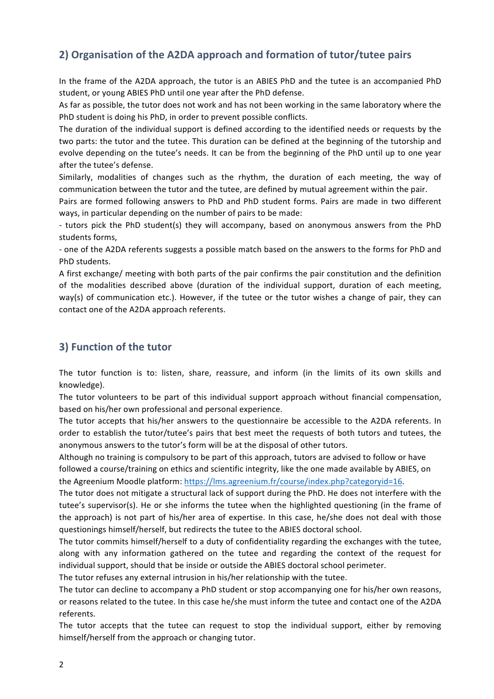## **2) Organisation of the A2DA approach and formation of tutor/tutee pairs**

In the frame of the A2DA approach, the tutor is an ABIES PhD and the tutee is an accompanied PhD student, or young ABIES PhD until one year after the PhD defense.

As far as possible, the tutor does not work and has not been working in the same laboratory where the PhD student is doing his PhD, in order to prevent possible conflicts.

The duration of the individual support is defined according to the identified needs or requests by the two parts: the tutor and the tutee. This duration can be defined at the beginning of the tutorship and evolve depending on the tutee's needs. It can be from the beginning of the PhD until up to one year after the tutee's defense.

Similarly, modalities of changes such as the rhythm, the duration of each meeting, the way of communication between the tutor and the tutee, are defined by mutual agreement within the pair.

Pairs are formed following answers to PhD and PhD student forms. Pairs are made in two different ways, in particular depending on the number of pairs to be made:

- tutors pick the PhD student(s) they will accompany, based on anonymous answers from the PhD students forms,

- one of the A2DA referents suggests a possible match based on the answers to the forms for PhD and PhD students.

A first exchange/ meeting with both parts of the pair confirms the pair constitution and the definition of the modalities described above (duration of the individual support, duration of each meeting, way(s) of communication etc.). However, if the tutee or the tutor wishes a change of pair, they can contact one of the A2DA approach referents.

#### **3) Function of the tutor**

The tutor function is to: listen, share, reassure, and inform (in the limits of its own skills and knowledge).

The tutor volunteers to be part of this individual support approach without financial compensation, based on his/her own professional and personal experience.

The tutor accepts that his/her answers to the questionnaire be accessible to the A2DA referents. In order to establish the tutor/tutee's pairs that best meet the requests of both tutors and tutees, the anonymous answers to the tutor's form will be at the disposal of other tutors.

Although no training is compulsory to be part of this approach, tutors are advised to follow or have followed a course/training on ethics and scientific integrity, like the one made available by ABIES, on the Agreenium Moodle platform: https://lms.agreenium.fr/course/index.php?categoryid=16.

The tutor does not mitigate a structural lack of support during the PhD. He does not interfere with the tutee's supervisor(s). He or she informs the tutee when the highlighted questioning (in the frame of the approach) is not part of his/her area of expertise. In this case, he/she does not deal with those questionings himself/herself, but redirects the tutee to the ABIES doctoral school.

The tutor commits himself/herself to a duty of confidentiality regarding the exchanges with the tutee, along with any information gathered on the tutee and regarding the context of the request for individual support, should that be inside or outside the ABIES doctoral school perimeter.

The tutor refuses any external intrusion in his/her relationship with the tutee.

The tutor can decline to accompany a PhD student or stop accompanying one for his/her own reasons, or reasons related to the tutee. In this case he/she must inform the tutee and contact one of the A2DA referents. 

The tutor accepts that the tutee can request to stop the individual support, either by removing himself/herself from the approach or changing tutor.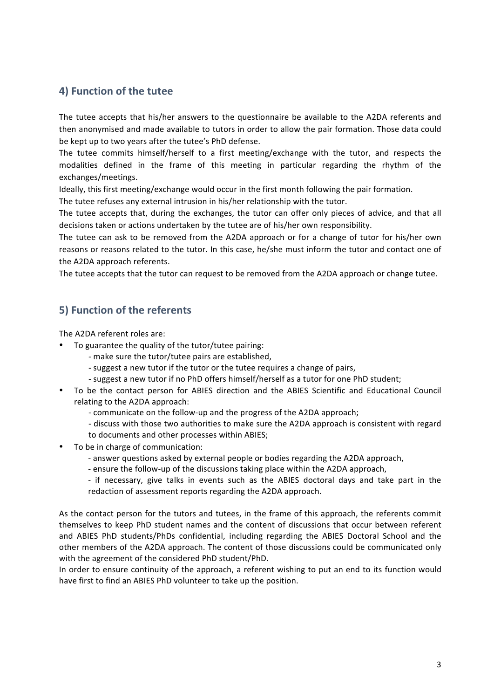### **4) Function of the tutee**

The tutee accepts that his/her answers to the questionnaire be available to the A2DA referents and then anonymised and made available to tutors in order to allow the pair formation. Those data could be kept up to two years after the tutee's PhD defense.

The tutee commits himself/herself to a first meeting/exchange with the tutor, and respects the modalities defined in the frame of this meeting in particular regarding the rhythm of the exchanges/meetings. 

Ideally, this first meeting/exchange would occur in the first month following the pair formation.

The tutee refuses any external intrusion in his/her relationship with the tutor.

The tutee accepts that, during the exchanges, the tutor can offer only pieces of advice, and that all decisions taken or actions undertaken by the tutee are of his/her own responsibility.

The tutee can ask to be removed from the A2DA approach or for a change of tutor for his/her own reasons or reasons related to the tutor. In this case, he/she must inform the tutor and contact one of the A2DA approach referents.

The tutee accepts that the tutor can request to be removed from the A2DA approach or change tutee.

#### **5) Function of the referents**

The A2DA referent roles are:

- To guarantee the quality of the tutor/tutee pairing:
	- make sure the tutor/tutee pairs are established,
	- suggest a new tutor if the tutor or the tutee requires a change of pairs,
	- suggest a new tutor if no PhD offers himself/herself as a tutor for one PhD student;
- To be the contact person for ABIES direction and the ABIES Scientific and Educational Council relating to the A2DA approach:
	- communicate on the follow-up and the progress of the A2DA approach;
	- discuss with those two authorities to make sure the A2DA approach is consistent with regard
	- to documents and other processes within ABIES;
- To be in charge of communication:
	- answer questions asked by external people or bodies regarding the A2DA approach,
	- ensure the follow-up of the discussions taking place within the A2DA approach,
	- if necessary, give talks in events such as the ABIES doctoral days and take part in the redaction of assessment reports regarding the A2DA approach.

As the contact person for the tutors and tutees, in the frame of this approach, the referents commit themselves to keep PhD student names and the content of discussions that occur between referent and ABIES PhD students/PhDs confidential, including regarding the ABIES Doctoral School and the other members of the A2DA approach. The content of those discussions could be communicated only with the agreement of the considered PhD student/PhD.

In order to ensure continuity of the approach, a referent wishing to put an end to its function would have first to find an ABIES PhD volunteer to take up the position.